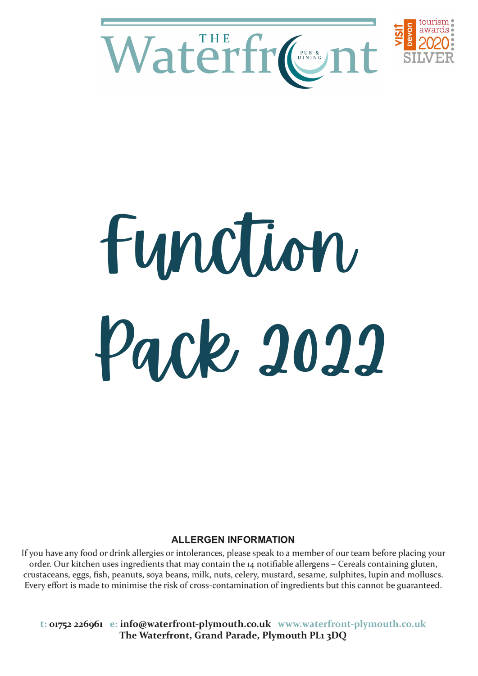



# Function Pack 2022

#### **ALLERGEN INFORMATION**

If you have any food or drink allergies or intolerances, please speak to a member of our team before placing your order. Our kitchen uses ingredients that may contain the 14 notifiable allergens - Cereals containing gluten, crustaceans, eggs, fish, peanuts, soya beans, milk, nuts, celery, mustard, sesame, sulphites, lupin and molluscs. Every effort is made to minimise the risk of cross-contamination of ingredients but this cannot be guaranteed.

t: 01752 226961 e: info@waterfront-plymouth.co.uk www.waterfront-plymouth.co.uk The Waterfront, Grand Parade, Plymouth PL1 3DQ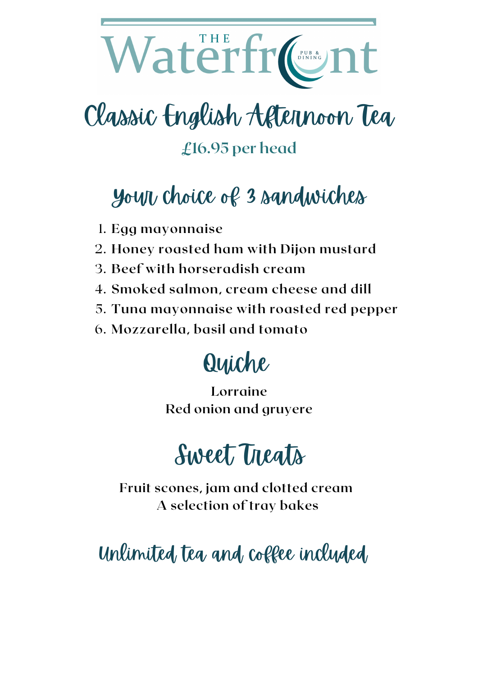# Waterfr CRISS

# Classic English Afternoon Tea

**£16.95 per head**

# Your choice of 3 sandwiches

- **Egg mayonnaise** 1.
- **Honey roasted ham with Dijon mustard** 2.
- **Beef with horseradish cream** 3.
- **Smoked salmon, cream cheese and dill** 4.
- **Tuna mayonnaise with roasted red pepper** 5.
- **Mozzarella, basil and tomato** 6.

# Quiche

**Lorraine Red onion and gruyere**



**Fruit scones, jam and clotted cream A selection of tray bakes**

Unlimited, tea and coffee included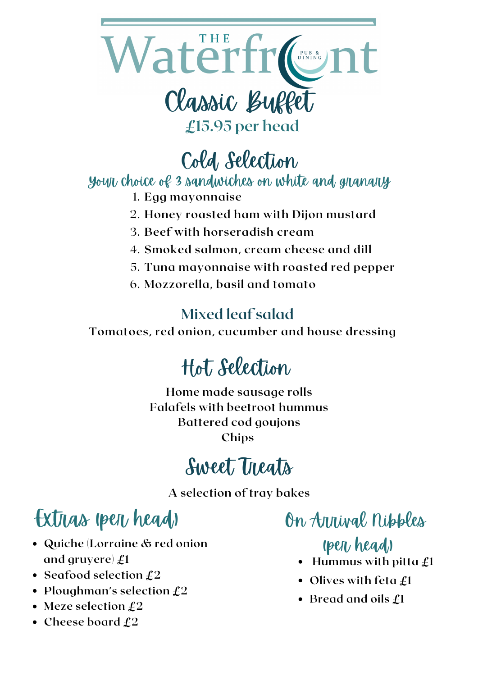

Cold Selection

#### Your choice of 3 sandwiches on white and granary

- **Egg mayonnaise** 1.
- **Honey roasted ham with Dijon mustard** 2.
- **Beef with horseradish cream** 3.
- **Smoked salmon, cream cheese and dill** 4.
- **Tuna mayonnaise with roasted red pepper** 5.
- **Mozzorella, basil and tomato** 6.

#### **Mixed leaf salad**

**Tomatoes, red onion, cucumber and house dressing**

# Hot Selection

**Home made sausage rolls Falafels with beetroot hummus Battered cod goujons Chips**

### Sweet Treats

**A selection of tray bakes**

## Extras (per head) On Arrival nipples

- **Quiche (Lorraine & red onion and gruyere) £1**
- **Seafood selection £2**
- **Ploughman's selection £2**
- **Meze selection £2**
- **Cheese board £2**

#### (per head)

- **Hummus with pitta £1**
- **Olives with feta £1**
- **Bread and oils £1**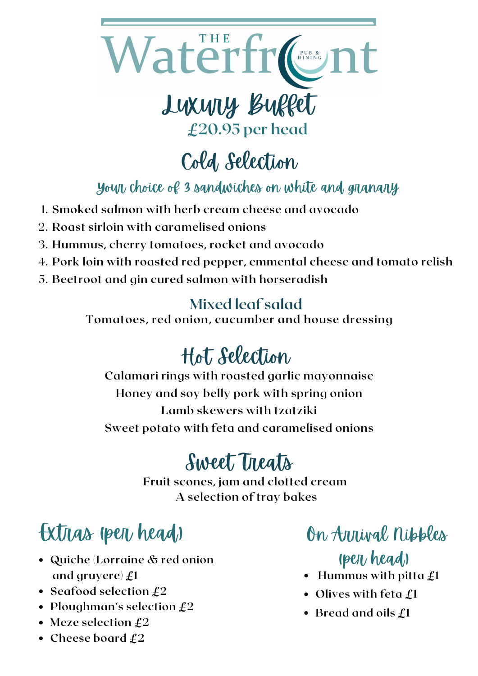

Cold Selection

Your choice of 3 sandwiches on white and granary

- **Smoked salmon with herb cream cheese and avocado** 1.
- **Roast sirloin with caramelised onions** 2.
- **Hummus, cherry tomatoes, rocket and avocado** 3.
- **Pork loin with roasted red pepper, emmental cheese and tomato relish** 4.
- **Beetroot and gin cured salmon with horseradish** 5.

#### **Mixed leaf salad**

**Tomatoes, red onion, cucumber and house dressing**

# Hot Selection

**Calamari rings with roasted garlic mayonnaise Honey and soy belly pork with spring onion Lamb skewers with tzatziki Sweet potato with feta and caramelised onions**

# Sweet Treats

**Fruit scones, jam and clotted cream A selection of tray bakes**

# Extras (per head)

- **Quiche (Lorraine & red onion and gruyere) £1**
- **Seafood selection £2**
- **Ploughman's selection £2**
- **Meze selection £2**
- **Cheese board £2**

On Arrival Nibbles (per head)

- **Hummus with pitta £1**
- **Olives with feta £1**
- **Bread and oils £1**